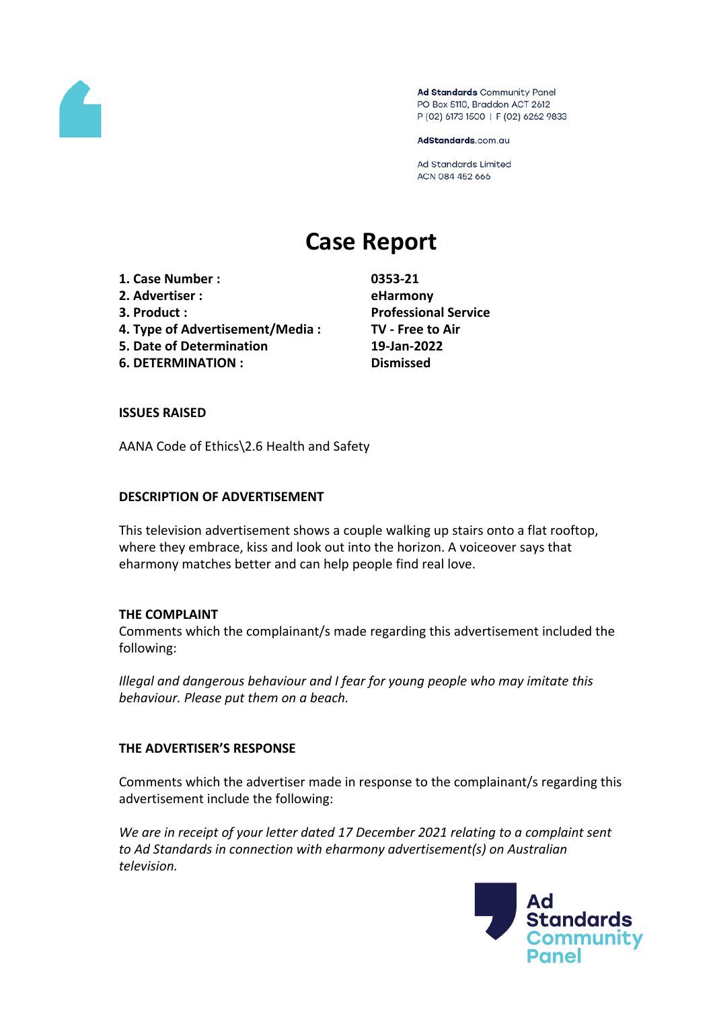

Ad Standards Community Panel PO Box 5110, Braddon ACT 2612 P (02) 6173 1500 | F (02) 6262 9833

AdStandards.com.au

**Ad Standards Limited** ACN 084 452 666

# **Case Report**

- **1. Case Number : 0353-21**
- **2. Advertiser : eHarmony**
- 
- **4. Type of Advertisement/Media : TV - Free to Air**
- **5. Date of Determination 19-Jan-2022**
- **6. DETERMINATION : Dismissed**

**3. Product : Professional Service**

#### **ISSUES RAISED**

AANA Code of Ethics\2.6 Health and Safety

#### **DESCRIPTION OF ADVERTISEMENT**

This television advertisement shows a couple walking up stairs onto a flat rooftop, where they embrace, kiss and look out into the horizon. A voiceover says that eharmony matches better and can help people find real love.

#### **THE COMPLAINT**

Comments which the complainant/s made regarding this advertisement included the following:

*Illegal and dangerous behaviour and I fear for young people who may imitate this behaviour. Please put them on a beach.*

# **THE ADVERTISER'S RESPONSE**

Comments which the advertiser made in response to the complainant/s regarding this advertisement include the following:

*We are in receipt of your letter dated 17 December 2021 relating to a complaint sent to Ad Standards in connection with eharmony advertisement(s) on Australian television.*

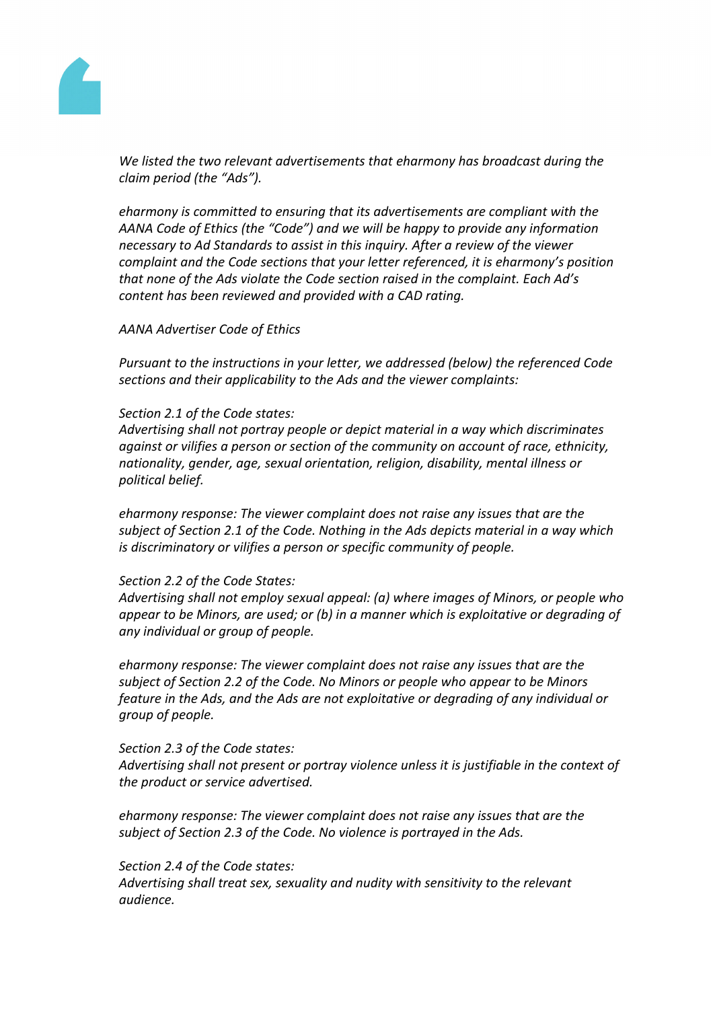

*We listed the two relevant advertisements that eharmony has broadcast during the claim period (the "Ads").*

*eharmony is committed to ensuring that its advertisements are compliant with the AANA Code of Ethics (the "Code") and we will be happy to provide any information necessary to Ad Standards to assist in this inquiry. After a review of the viewer complaint and the Code sections that your letter referenced, it is eharmony's position that none of the Ads violate the Code section raised in the complaint. Each Ad's content has been reviewed and provided with a CAD rating.*

*AANA Advertiser Code of Ethics*

*Pursuant to the instructions in your letter, we addressed (below) the referenced Code sections and their applicability to the Ads and the viewer complaints:*

#### *Section 2.1 of the Code states:*

*Advertising shall not portray people or depict material in a way which discriminates against or vilifies a person or section of the community on account of race, ethnicity, nationality, gender, age, sexual orientation, religion, disability, mental illness or political belief.*

*eharmony response: The viewer complaint does not raise any issues that are the subject of Section 2.1 of the Code. Nothing in the Ads depicts material in a way which is discriminatory or vilifies a person or specific community of people.*

# *Section 2.2 of the Code States:*

*Advertising shall not employ sexual appeal: (a) where images of Minors, or people who appear to be Minors, are used; or (b) in a manner which is exploitative or degrading of any individual or group of people.*

*eharmony response: The viewer complaint does not raise any issues that are the subject of Section 2.2 of the Code. No Minors or people who appear to be Minors feature in the Ads, and the Ads are not exploitative or degrading of any individual or group of people.*

#### *Section 2.3 of the Code states:*

*Advertising shall not present or portray violence unless it is justifiable in the context of the product or service advertised.*

*eharmony response: The viewer complaint does not raise any issues that are the subject of Section 2.3 of the Code. No violence is portrayed in the Ads.*

# *Section 2.4 of the Code states:*

*Advertising shall treat sex, sexuality and nudity with sensitivity to the relevant audience.*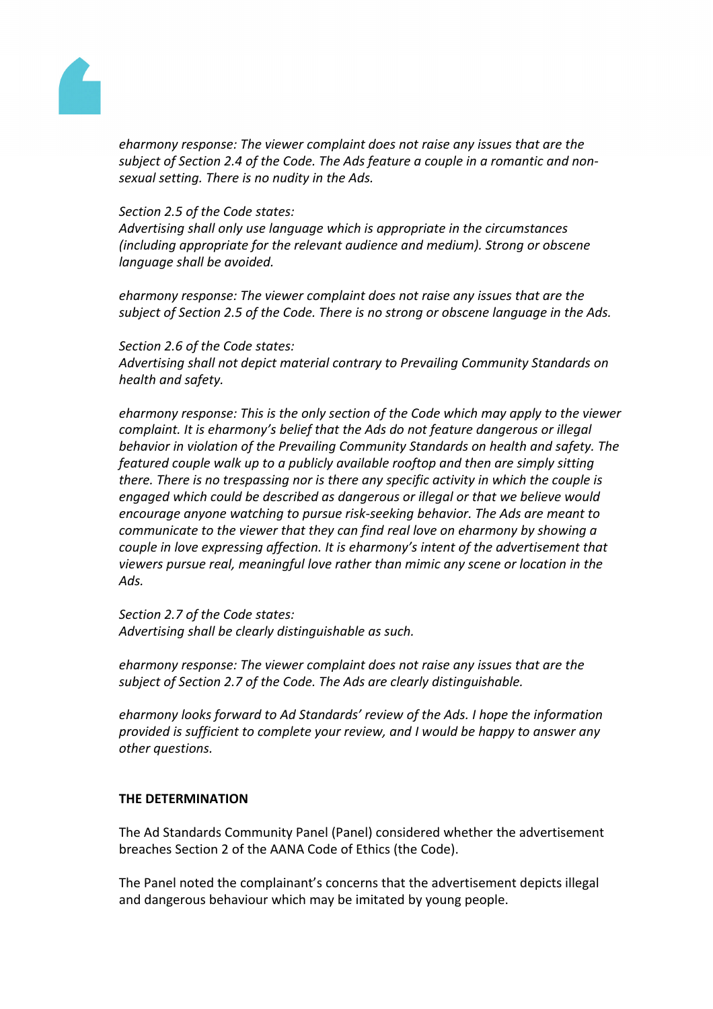

*eharmony response: The viewer complaint does not raise any issues that are the subject of Section 2.4 of the Code. The Ads feature a couple in a romantic and nonsexual setting. There is no nudity in the Ads.*

#### *Section 2.5 of the Code states:*

*Advertising shall only use language which is appropriate in the circumstances (including appropriate for the relevant audience and medium). Strong or obscene language shall be avoided.*

*eharmony response: The viewer complaint does not raise any issues that are the subject of Section 2.5 of the Code. There is no strong or obscene language in the Ads.*

#### *Section 2.6 of the Code states:*

*Advertising shall not depict material contrary to Prevailing Community Standards on health and safety.*

*eharmony response: This is the only section of the Code which may apply to the viewer complaint. It is eharmony's belief that the Ads do not feature dangerous or illegal behavior in violation of the Prevailing Community Standards on health and safety. The featured couple walk up to a publicly available rooftop and then are simply sitting there. There is no trespassing nor is there any specific activity in which the couple is engaged which could be described as dangerous or illegal or that we believe would encourage anyone watching to pursue risk-seeking behavior. The Ads are meant to communicate to the viewer that they can find real love on eharmony by showing a couple in love expressing affection. It is eharmony's intent of the advertisement that viewers pursue real, meaningful love rather than mimic any scene or location in the Ads.*

*Section 2.7 of the Code states: Advertising shall be clearly distinguishable as such.*

*eharmony response: The viewer complaint does not raise any issues that are the subject of Section 2.7 of the Code. The Ads are clearly distinguishable.*

*eharmony looks forward to Ad Standards' review of the Ads. I hope the information provided is sufficient to complete your review, and I would be happy to answer any other questions.*

# **THE DETERMINATION**

The Ad Standards Community Panel (Panel) considered whether the advertisement breaches Section 2 of the AANA Code of Ethics (the Code).

The Panel noted the complainant's concerns that the advertisement depicts illegal and dangerous behaviour which may be imitated by young people.